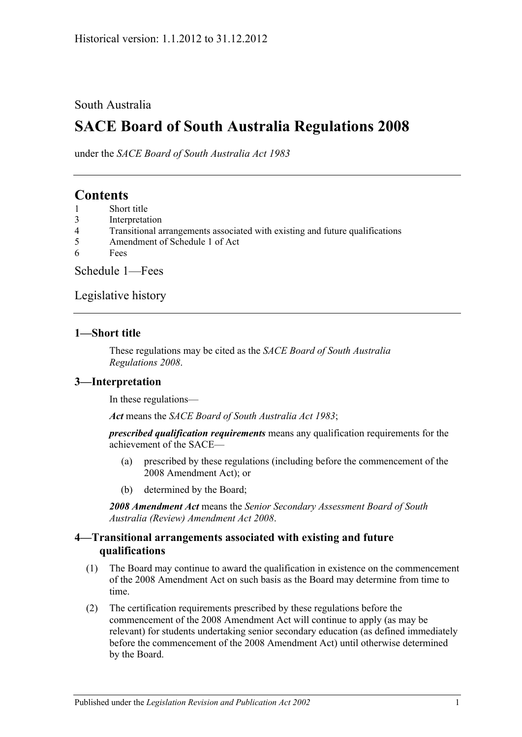#### South Australia

# **SACE Board of South Australia Regulations 2008**

under the *SACE Board of South Australia Act 1983*

## **Contents**

- 1 [Short title](#page-0-0)
- 3 [Interpretation](#page-0-1)
- 4 [Transitional arrangements associated with existing and future qualifications](#page-0-2)
- 5 [Amendment of Schedule 1 of Act](#page-1-0)
- 6 [Fees](#page-1-1)

[Schedule](#page-1-2) 1—Fees

[Legislative history](#page-3-0)

#### <span id="page-0-0"></span>**1—Short title**

These regulations may be cited as the *SACE Board of South Australia Regulations 2008*.

#### <span id="page-0-1"></span>**3—Interpretation**

In these regulations—

*Act* means the *[SACE Board of South Australia Act](http://www.legislation.sa.gov.au/index.aspx?action=legref&type=act&legtitle=SACE%20Board%20of%20South%20Australia%20Act%201983) 1983*;

*prescribed qualification requirements* means any qualification requirements for the achievement of the SACE—

- (a) prescribed by these regulations (including before the commencement of the 2008 Amendment Act); or
- (b) determined by the Board;

*2008 Amendment Act* means the *[Senior Secondary Assessment Board of South](http://www.legislation.sa.gov.au/index.aspx?action=legref&type=act&legtitle=Senior%20Secondary%20Assessment%20Board%20of%20South%20Australia%20(Review)%20Amendment%20Act%202008)  [Australia \(Review\) Amendment Act](http://www.legislation.sa.gov.au/index.aspx?action=legref&type=act&legtitle=Senior%20Secondary%20Assessment%20Board%20of%20South%20Australia%20(Review)%20Amendment%20Act%202008) 2008*.

#### <span id="page-0-2"></span>**4—Transitional arrangements associated with existing and future qualifications**

- (1) The Board may continue to award the qualification in existence on the commencement of the 2008 Amendment Act on such basis as the Board may determine from time to time.
- (2) The certification requirements prescribed by these regulations before the commencement of the 2008 Amendment Act will continue to apply (as may be relevant) for students undertaking senior secondary education (as defined immediately before the commencement of the 2008 Amendment Act) until otherwise determined by the Board.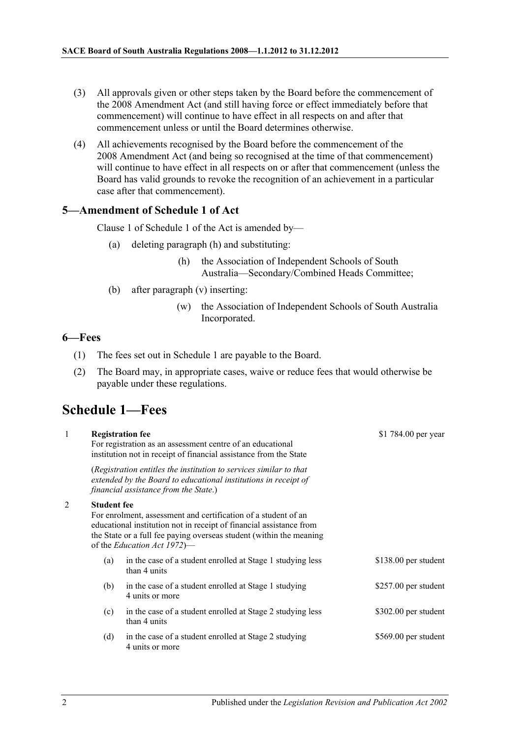- (3) All approvals given or other steps taken by the Board before the commencement of the 2008 Amendment Act (and still having force or effect immediately before that commencement) will continue to have effect in all respects on and after that commencement unless or until the Board determines otherwise.
- (4) All achievements recognised by the Board before the commencement of the 2008 Amendment Act (and being so recognised at the time of that commencement) will continue to have effect in all respects on or after that commencement (unless the Board has valid grounds to revoke the recognition of an achievement in a particular case after that commencement).

#### <span id="page-1-0"></span>**5—Amendment of Schedule 1 of Act**

Clause 1 of Schedule 1 of the Act is amended by—

- (a) deleting paragraph (h) and substituting:
	- (h) the Association of Independent Schools of South Australia—Secondary/Combined Heads Committee;
- (b) after paragraph (v) inserting:
	- (w) the Association of Independent Schools of South Australia Incorporated.

 $51 - 784.00$ 

#### <span id="page-1-1"></span>**6—Fees**

- (1) The fees set out in [Schedule](#page-1-2) 1 are payable to the Board.
- (2) The Board may, in appropriate cases, waive or reduce fees that would otherwise be payable under these regulations.

## <span id="page-1-2"></span>**Schedule 1—Fees**

1 **Registration fee**

| $\mathbf{I}$ |                    | Registration fee<br>For registration as an assessment centre of an educational<br>institution not in receipt of financial assistance from the State                                                                                         | $$1$ /84.00 per year  |
|--------------|--------------------|---------------------------------------------------------------------------------------------------------------------------------------------------------------------------------------------------------------------------------------------|-----------------------|
|              |                    | (Registration entitles the institution to services similar to that<br>extended by the Board to educational institutions in receipt of<br>financial assistance from the State.)                                                              |                       |
| 2            | <b>Student fee</b> | For enrolment, assessment and certification of a student of an<br>educational institution not in receipt of financial assistance from<br>the State or a full fee paying overseas student (within the meaning<br>of the Education Act 1972)— |                       |
|              | (a)                | in the case of a student enrolled at Stage 1 studying less<br>than 4 units                                                                                                                                                                  | $$138.00$ per student |
|              | (b)                | in the case of a student enrolled at Stage 1 studying<br>4 units or more                                                                                                                                                                    | \$257.00 per student  |
|              | (c)                | in the case of a student enrolled at Stage 2 studying less<br>than 4 units                                                                                                                                                                  | $$302.00$ per student |
|              | (d)                | in the case of a student enrolled at Stage 2 studying<br>4 units or more                                                                                                                                                                    | \$569.00 per student  |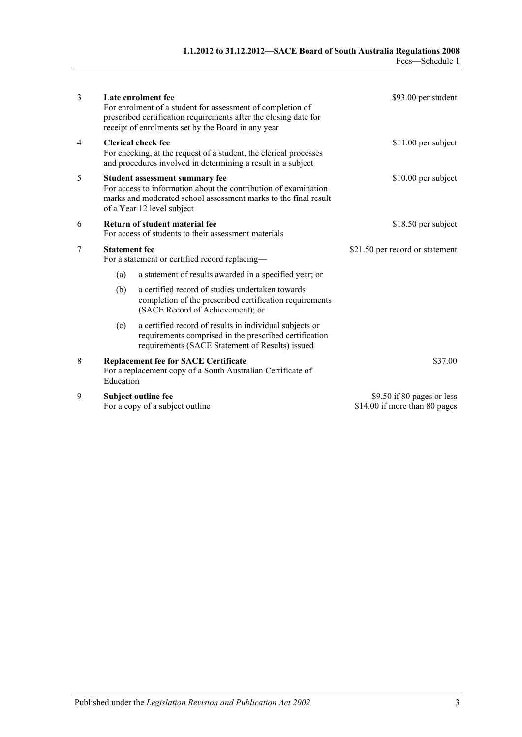| 3 |                                                                                                                                                                                                    | Late enrolment fee<br>For enrolment of a student for assessment of completion of<br>prescribed certification requirements after the closing date for<br>receipt of enrolments set by the Board in any year | \$93.00 per student                                         |
|---|----------------------------------------------------------------------------------------------------------------------------------------------------------------------------------------------------|------------------------------------------------------------------------------------------------------------------------------------------------------------------------------------------------------------|-------------------------------------------------------------|
| 4 | <b>Clerical check fee</b><br>For checking, at the request of a student, the clerical processes<br>and procedures involved in determining a result in a subject                                     |                                                                                                                                                                                                            | $$11.00$ per subject                                        |
| 5 | Student assessment summary fee<br>For access to information about the contribution of examination<br>marks and moderated school assessment marks to the final result<br>of a Year 12 level subject |                                                                                                                                                                                                            | $$10.00$ per subject                                        |
| 6 | Return of student material fee<br>For access of students to their assessment materials                                                                                                             |                                                                                                                                                                                                            | \$18.50 per subject                                         |
| 7 | <b>Statement</b> fee<br>For a statement or certified record replacing-                                                                                                                             |                                                                                                                                                                                                            | \$21.50 per record or statement                             |
|   | (a)                                                                                                                                                                                                | a statement of results awarded in a specified year; or                                                                                                                                                     |                                                             |
|   | (b)                                                                                                                                                                                                | a certified record of studies undertaken towards<br>completion of the prescribed certification requirements<br>(SACE Record of Achievement); or                                                            |                                                             |
|   | (c)                                                                                                                                                                                                | a certified record of results in individual subjects or<br>requirements comprised in the prescribed certification<br>requirements (SACE Statement of Results) issued                                       |                                                             |
| 8 | Education                                                                                                                                                                                          | <b>Replacement fee for SACE Certificate</b><br>For a replacement copy of a South Australian Certificate of                                                                                                 | \$37.00                                                     |
| 9 |                                                                                                                                                                                                    | Subject outline fee<br>For a copy of a subject outline                                                                                                                                                     | \$9.50 if 80 pages or less<br>\$14.00 if more than 80 pages |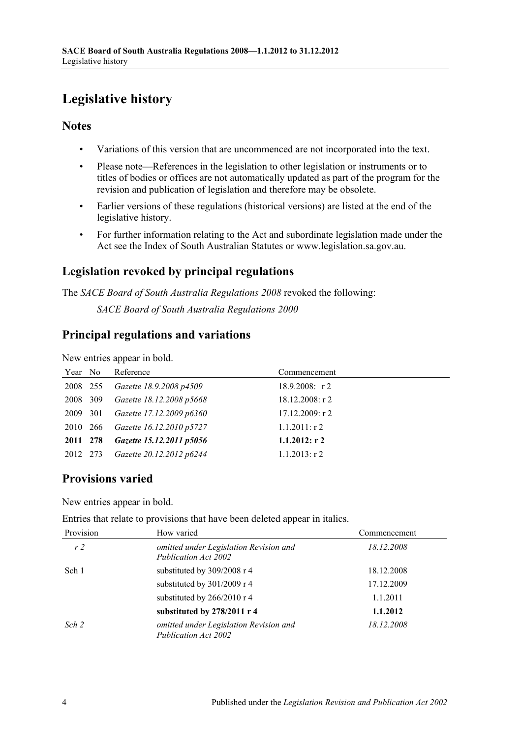# <span id="page-3-0"></span>**Legislative history**

### **Notes**

- Variations of this version that are uncommenced are not incorporated into the text.
- Please note—References in the legislation to other legislation or instruments or to titles of bodies or offices are not automatically updated as part of the program for the revision and publication of legislation and therefore may be obsolete.
- Earlier versions of these regulations (historical versions) are listed at the end of the legislative history.
- For further information relating to the Act and subordinate legislation made under the Act see the Index of South Australian Statutes or www.legislation.sa.gov.au.

## **Legislation revoked by principal regulations**

The *SACE Board of South Australia Regulations 2008* revoked the following:

*SACE Board of South Australia Regulations 2000*

## **Principal regulations and variations**

New entries appear in bold.

| Year No  | Reference                | Commencement       |
|----------|--------------------------|--------------------|
| 2008 255 | Gazette 18.9.2008 p4509  | 18.9.2008: $r2$    |
| 2008 309 | Gazette 18.12.2008 p5668 | $18.12.2008:$ r 2  |
| 2009 301 | Gazette 17.12.2009 p6360 | $17.12.2009$ : r 2 |
| 2010 266 | Gazette 16.12.2010 p5727 | $1.1.2011:$ r 2    |
| 2011 278 | Gazette 15.12.2011 p5056 | $1.1.2012:$ r 2    |
| 2012 273 | Gazette 20.12.2012 p6244 | $1.1.2013$ : r 2   |

## **Provisions varied**

New entries appear in bold.

Entries that relate to provisions that have been deleted appear in italics.

| Provision      | How varied                                                     | Commencement |
|----------------|----------------------------------------------------------------|--------------|
| r <sub>2</sub> | omitted under Legislation Revision and<br>Publication Act 2002 | 18.12.2008   |
| Sch 1          | substituted by 309/2008 r 4                                    | 18.12.2008   |
|                | substituted by 301/2009 r 4                                    | 17.12.2009   |
|                | substituted by 266/2010 r 4                                    | 1.1.2011     |
|                | substituted by 278/2011 r 4                                    | 1.1.2012     |
| Sch 2          | omitted under Legislation Revision and<br>Publication Act 2002 | 18.12.2008   |